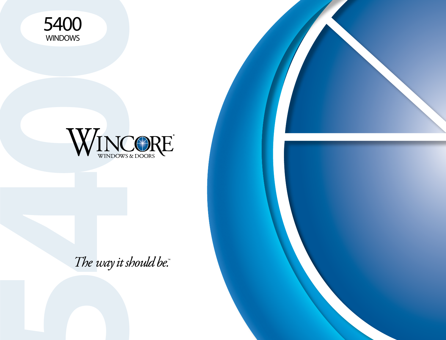



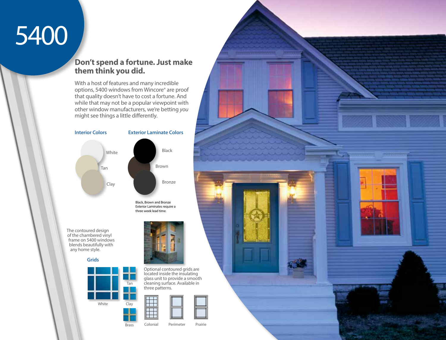# 5400

## **Don't spend a fortune. Just make them think you did.**

With a host of features and many incredible options, 5400 windows from Wincore® are proof that quality doesn't have to cost a fortune. And while that may not be a popular viewpoint with other window manufacturers, we're betting *you* might see things a little differently.



Black, Brown and Bronze Exterior Laminates require a three week lead time.

The contoured design of the chambered vinyl frame on 5400 windows blends beautifully with any home style.

**Grids**





Optional contoured grids are located inside the insulating glass unit to provide a smooth cleaning surface. Available in three patterns.



Brass

Colonial Perimeter Prairie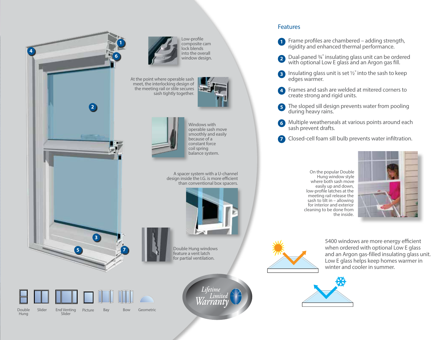



End Venting Picture Slider Double Slider

Hung

Bay Bow Geometric



Double Hung windows feature a vent latch for partial ventilation.

A spacer system with a U-channel design inside the I.G. is more efficient than conventional box spacers.

Windows with operable sash move smoothly and easily because of a constant force coil spring balance system.

Low-profile composite cam lock blends into the overall window design.

sash tightly together.

#### Features

**1** Frame profiles are chambered – adding strength, rigidity and enhanced thermal performance.

- **2** Dual-paned <sup>3</sup>/4" insulating glass unit can be ordered with optional Low E glass and an Argon gas fill.
- **3** Insulating glass unit is set 1/2" into the sash to keep edges warmer.
- Frames and sash are welded at mitered corners to **4** create strong and rigid units.
- The sloped sill design prevents water from pooling during heavy rains. **5**
- Multiple weatherseals at various points around each **6** sash prevent drafts.
- Closed-cell foam sill bulb prevents water infiltration. **7**

On the popular Double Hung window style where both sash move easily up and down, low-profile latches at the meeting rail release the sash to tilt in – allowing for interior and exterior cleaning to be done from the inside.





5400 windows are more energy efficient when ordered with optional Low E glass and an Argon gas-filled insulating glass unit. Low E glass helps keep homes warmer in winter and cooler in summer.